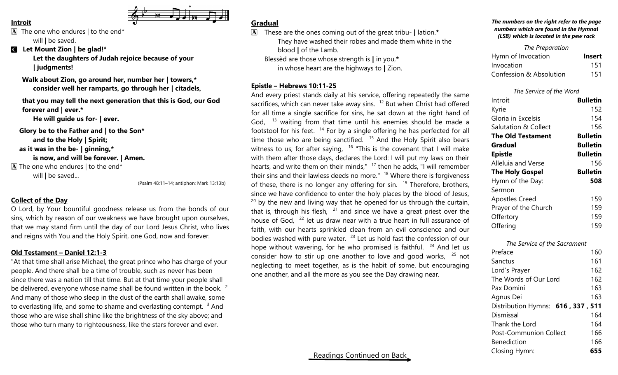#### **Introit**

 $\boxed{\mathbf{A}}$  The one who endures | to the end\*

will | be saved.

C **Let Mount Zion | be glad!\***

**Let the daughters of Judah rejoice because of your | judgments!**

**Walk about Zion, go around her, number her | towers,\* consider well her ramparts, go through her | citadels,**

**that you may tell the next generation that this is God, our God forever and | ever.\***

**He will guide us for- | ever.**

**Glory be to the Father and | to the Son\* and to the Holy | Spirit;**

**as it was in the be- | ginning,\***

**is now, and will be forever. | Amen.**

 $\overline{A}$  The one who endures | to the end\* will | be saved...

(Psalm 48:11–14; antiphon: Mark 13:13b)

# **Collect of the Day**

O Lord, by Your bountiful goodness release us from the bonds of our sins, which by reason of our weakness we have brought upon ourselves, that we may stand firm until the day of our Lord Jesus Christ, who lives and reigns with You and the Holy Spirit, one God, now and forever.

### **Old Testament – Daniel 12:1-3**

"At that time shall arise Michael, the great prince who has charge of your people. And there shall be a time of trouble, such as never has been since there was a nation till that time. But at that time your people shall be delivered, everyone whose name shall be found written in the book.<sup>2</sup> And many of those who sleep in the dust of the earth shall awake, some to everlasting life, and some to shame and everlasting contempt. <sup>3</sup> And those who are wise shall shine like the brightness of the sky above; and those who turn many to righteousness, like the stars forever and ever.

# **Gradual**

A These are the ones coming out of the great tribu- **|** lation.**\*** They have washed their robes and made them white in the blood **|** of the Lamb. Blessèd are those whose strength is **|** in you,**\***

in whose heart are the highways to **|** Zion.

# **Epistle – Hebrews 10:11-25**

And every priest stands daily at his service, offering repeatedly the same sacrifices, which can never take away sins.  $12$  But when Christ had offered for all time a single sacrifice for sins, he sat down at the right hand of God,  $13$  waiting from that time until his enemies should be made a footstool for his feet. <sup>14</sup> For by a single offering he has perfected for all time those who are being sanctified.  $15$  And the Holy Spirit also bears witness to us; for after saying,  $16$  "This is the covenant that I will make with them after those days, declares the Lord: I will put my laws on their hearts, and write them on their minds,"  $17$  then he adds, "I will remember their sins and their lawless deeds no more."  $18$  Where there is forgiveness of these, there is no longer any offering for sin.  $19$  Therefore, brothers, since we have confidence to enter the holy places by the blood of Jesus,  $20$  by the new and living way that he opened for us through the curtain, that is, through his flesh,  $21$  and since we have a great priest over the house of God,  $^{22}$  let us draw near with a true heart in full assurance of faith, with our hearts sprinkled clean from an evil conscience and our bodies washed with pure water.  $^{23}$  Let us hold fast the confession of our hope without wavering, for he who promised is faithful.  $24$  And let us consider how to stir up one another to love and good works,  $25$  not neglecting to meet together, as is the habit of some, but encouraging one another, and all the more as you see the Day drawing near.

#### *The numbers on the right refer to the page numbers which are found in the Hymnal (LSB) which is located in the pew rack*

| The Preparation         |               |
|-------------------------|---------------|
| Hymn of Invocation      | <b>Insert</b> |
| Invocation              | 151           |
| Confession & Absolution | 151           |

### *The Service of the Word*

| Introit                  | <b>Bulletin</b> |
|--------------------------|-----------------|
| Kyrie                    | 152             |
| Gloria in Excelsis       | 154             |
| Salutation & Collect     | 156             |
| <b>The Old Testament</b> | <b>Bulletin</b> |
| Gradual                  | <b>Bulletin</b> |
| <b>Epistle</b>           | <b>Bulletin</b> |
| Alleluia and Verse       | 156             |
| The Holy Gospel          | <b>Bulletin</b> |
| Hymn of the Day:         | 508             |
| Sermon                   |                 |
| <b>Apostles Creed</b>    | 159             |
| Prayer of the Church     | 159             |
| Offertory                | 159             |
| Offering                 | 159             |
|                          |                 |

| Preface                           | 160 |
|-----------------------------------|-----|
| Sanctus                           | 161 |
| Lord's Prayer                     | 162 |
| The Words of Our Lord             | 162 |
| Pax Domini                        | 163 |
| Agnus Dei                         | 163 |
| Distribution Hymns: 616, 337, 511 |     |
| Dismissal                         | 164 |
| Thank the Lord                    | 164 |
| <b>Post-Communion Collect</b>     | 166 |
| <b>Benediction</b>                | 166 |
| Closing Hymn:                     | 655 |
|                                   |     |

*The Service of the Sacrament*

# Readings Continued on Back